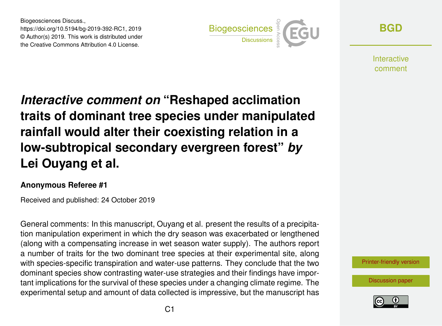Biogeosciences Discuss., https://doi.org/10.5194/bg-2019-392-RC1, 2019 © Author(s) 2019. This work is distributed under the Creative Commons Attribution 4.0 License.



**[BGD](https://www.biogeosciences-discuss.net/)**

**Interactive** comment

*Interactive comment on* **"Reshaped acclimation traits of dominant tree species under manipulated rainfall would alter their coexisting relation in a low-subtropical secondary evergreen forest"** *by* **Lei Ouyang et al.**

## **Anonymous Referee #1**

Received and published: 24 October 2019

General comments: In this manuscript, Ouyang et al. present the results of a precipitation manipulation experiment in which the dry season was exacerbated or lengthened (along with a compensating increase in wet season water supply). The authors report a number of traits for the two dominant tree species at their experimental site, along with species-specific transpiration and water-use patterns. They conclude that the two dominant species show contrasting water-use strategies and their findings have important implications for the survival of these species under a changing climate regime. The experimental setup and amount of data collected is impressive, but the manuscript has

[Printer-friendly version](https://www.biogeosciences-discuss.net/bg-2019-392/bg-2019-392-RC1-print.pdf)

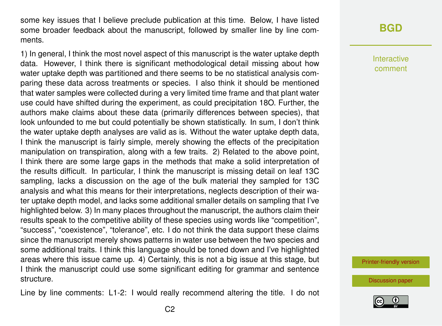some key issues that I believe preclude publication at this time. Below, I have listed some broader feedback about the manuscript, followed by smaller line by line comments.

1) In general, I think the most novel aspect of this manuscript is the water uptake depth data. However, I think there is significant methodological detail missing about how water uptake depth was partitioned and there seems to be no statistical analysis comparing these data across treatments or species. I also think it should be mentioned that water samples were collected during a very limited time frame and that plant water use could have shifted during the experiment, as could precipitation 18O. Further, the authors make claims about these data (primarily differences between species), that look unfounded to me but could potentially be shown statistically. In sum, I don't think the water uptake depth analyses are valid as is. Without the water uptake depth data, I think the manuscript is fairly simple, merely showing the effects of the precipitation manipulation on transpiration, along with a few traits. 2) Related to the above point, I think there are some large gaps in the methods that make a solid interpretation of the results difficult. In particular, I think the manuscript is missing detail on leaf 13C sampling, lacks a discussion on the age of the bulk material they sampled for 13C analysis and what this means for their interpretations, neglects description of their water uptake depth model, and lacks some additional smaller details on sampling that I've highlighted below. 3) In many places throughout the manuscript, the authors claim their results speak to the competitive ability of these species using words like "competition", "success", "coexistence", "tolerance", etc. I do not think the data support these claims since the manuscript merely shows patterns in water use between the two species and some additional traits. I think this language should be toned down and I've highlighted areas where this issue came up. 4) Certainly, this is not a big issue at this stage, but I think the manuscript could use some significant editing for grammar and sentence structure.

Line by line comments: L1-2: I would really recommend altering the title. I do not

## **[BGD](https://www.biogeosciences-discuss.net/)**

Interactive comment

[Printer-friendly version](https://www.biogeosciences-discuss.net/bg-2019-392/bg-2019-392-RC1-print.pdf)

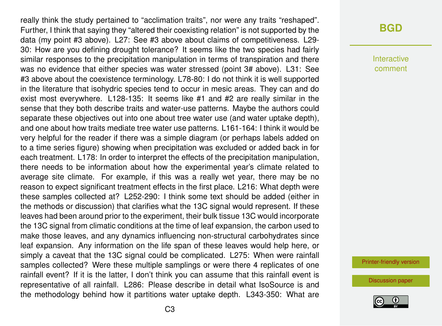really think the study pertained to "acclimation traits", nor were any traits "reshaped". Further, I think that saying they "altered their coexisting relation" is not supported by the data (my point #3 above). L27: See #3 above about claims of competitiveness. L29- 30: How are you defining drought tolerance? It seems like the two species had fairly similar responses to the precipitation manipulation in terms of transpiration and there was no evidence that either species was water stressed (point 3# above). L31: See #3 above about the coexistence terminology. L78-80: I do not think it is well supported in the literature that isohydric species tend to occur in mesic areas. They can and do exist most everywhere. L128-135: It seems like #1 and #2 are really similar in the sense that they both describe traits and water-use patterns. Maybe the authors could separate these objectives out into one about tree water use (and water uptake depth), and one about how traits mediate tree water use patterns. L161-164: I think it would be very helpful for the reader if there was a simple diagram (or perhaps labels added on to a time series figure) showing when precipitation was excluded or added back in for each treatment. L178: In order to interpret the effects of the precipitation manipulation, there needs to be information about how the experimental year's climate related to average site climate. For example, if this was a really wet year, there may be no reason to expect significant treatment effects in the first place. L216: What depth were these samples collected at? L252-290: I think some text should be added (either in the methods or discussion) that clarifies what the 13C signal would represent. If these leaves had been around prior to the experiment, their bulk tissue 13C would incorporate the 13C signal from climatic conditions at the time of leaf expansion, the carbon used to make those leaves, and any dynamics influencing non-structural carbohydrates since leaf expansion. Any information on the life span of these leaves would help here, or simply a caveat that the 13C signal could be complicated. L275: When were rainfall samples collected? Were these multiple samplings or were there 4 replicates of one rainfall event? If it is the latter, I don't think you can assume that this rainfall event is representative of all rainfall. L286: Please describe in detail what IsoSource is and the methodology behind how it partitions water uptake depth. L343-350: What are

## **[BGD](https://www.biogeosciences-discuss.net/)**

Interactive comment

[Printer-friendly version](https://www.biogeosciences-discuss.net/bg-2019-392/bg-2019-392-RC1-print.pdf)